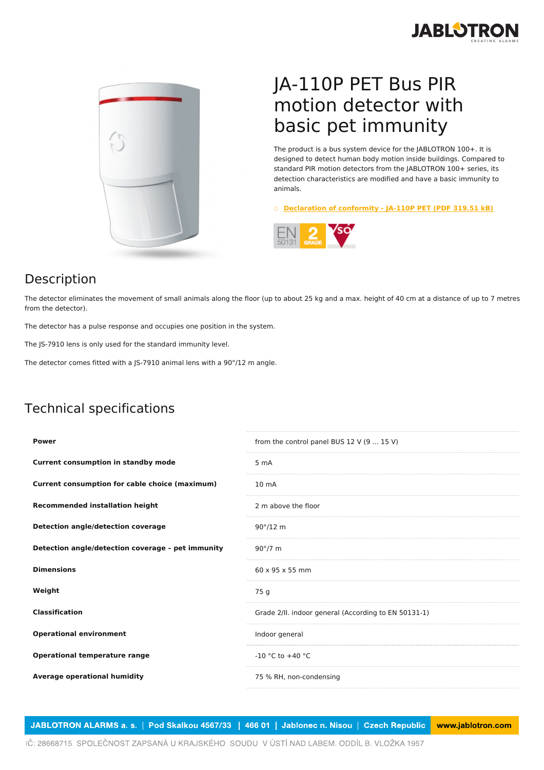



## JA-110P PET Bus PIR motion detector with basic pet immunity

The product is a bus system device for the JABLOTRON 100+. It is designed to detect human body motion inside buildings. Compared to standard PIR motion detectors from the JABLOTRON 100+ series, its detection characteristics are modified and have a basic immunity to animals.

○ **[Declaration](https://www.jablotron.com/en/template/product/1242/?file=0&jt_id=24963&hash=e5KerE&do=downloadCertificate) of conformity - JA-110P PET (PDF 319.51 kB)**



## Description

The detector eliminates the movement of small animals along the floor (up to about 25 kg and a max. height of 40 cm at a distance of up to 7 metres from the detector).

The detector has a pulse response and occupies one position in the system.

The JS-7910 lens is only used for the standard immunity level.

The detector comes fitted with a JS-7910 animal lens with a 90°/12 m angle.

## Technical specifications

| <b>Power</b>                                      | from the control panel BUS 12 V (9  15 V)            |
|---------------------------------------------------|------------------------------------------------------|
| <b>Current consumption in standby mode</b>        | 5 m A                                                |
| Current consumption for cable choice (maximum)    | 10 <sub>mA</sub>                                     |
| <b>Recommended installation height</b>            | 2 m above the floor                                  |
| Detection angle/detection coverage                | $90^{\circ}/12$ m                                    |
| Detection angle/detection coverage - pet immunity | $90^{\circ}/7$ m                                     |
| <b>Dimensions</b>                                 | $60 \times 95 \times 55$ mm                          |
| Weight                                            | 75 g                                                 |
| <b>Classification</b>                             | Grade 2/II. indoor general (According to EN 50131-1) |
| <b>Operational environment</b>                    | Indoor general                                       |
| <b>Operational temperature range</b>              | $-10$ °C to $+40$ °C                                 |
| Average operational humidity                      | 75 % RH, non-condensing                              |

JABLOTRON ALARMS a. s. | Pod Skalkou 4567/33 | 466 01 | Jablonec n. Nisou | Czech Republic www.jablotron.com